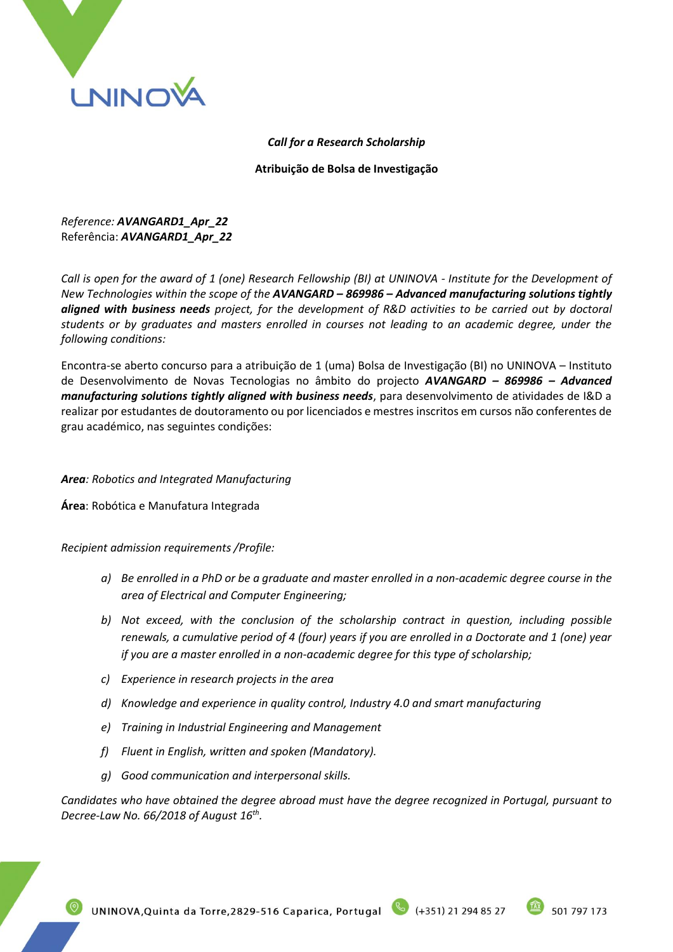

## *Call for a Research Scholarship*

**Atribuição de Bolsa de Investigação**

*Reference: AVANGARD1\_Apr\_22* Referência: *AVANGARD1\_Apr\_22*

*Call is open for the award of 1 (one) Research Fellowship (BI) at UNINOVA - Institute for the Development of New Technologies within the scope of the AVANGARD – 869986 – Advanced manufacturing solutions tightly aligned with business needs project, for the development of R&D activities to be carried out by doctoral students or by graduates and masters enrolled in courses not leading to an academic degree, under the following conditions:*

Encontra-se aberto concurso para a atribuição de 1 (uma) Bolsa de Investigação (BI) no UNINOVA – Instituto de Desenvolvimento de Novas Tecnologias no âmbito do projecto *AVANGARD – 869986 – Advanced manufacturing solutions tightly aligned with business needs*, para desenvolvimento de atividades de I&D a realizar por estudantes de doutoramento ou por licenciados e mestres inscritos em cursos não conferentes de grau académico, nas seguintes condições:

# *Area: Robotics and Integrated Manufacturing*

**Área**: Robótica e Manufatura Integrada

*Recipient admission requirements /Profile:*

- *a) Be enrolled in a PhD or be a graduate and master enrolled in a non-academic degree course in the area of Electrical and Computer Engineering;*
- *b) Not exceed, with the conclusion of the scholarship contract in question, including possible renewals, a cumulative period of 4 (four) years if you are enrolled in a Doctorate and 1 (one) year if you are a master enrolled in a non-academic degree for this type of scholarship;*
- *c) Experience in research projects in the area*
- *d) Knowledge and experience in quality control, Industry 4.0 and smart manufacturing*
- *e) Training in Industrial Engineering and Management*
- *f) Fluent in English, written and spoken (Mandatory).*
- *g) Good communication and interpersonal skills.*

*Candidates who have obtained the degree abroad must have the degree recognized in Portugal, pursuant to Decree-Law No. 66/2018 of August 16th .*

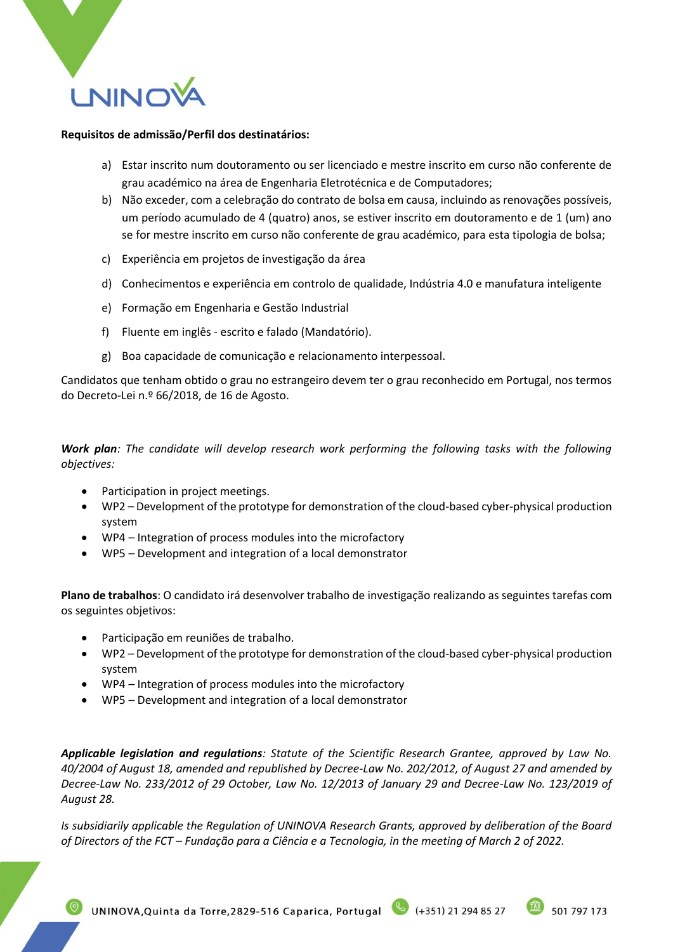

#### **Requisitos de admissão/Perfil dos destinatários:**

- a) Estar inscrito num doutoramento ou ser licenciado e mestre inscrito em curso não conferente de grau académico na área de Engenharia Eletrotécnica e de Computadores;
- b) Não exceder, com a celebração do contrato de bolsa em causa, incluindo as renovações possíveis, um período acumulado de 4 (quatro) anos, se estiver inscrito em doutoramento e de 1 (um) ano se for mestre inscrito em curso não conferente de grau académico, para esta tipologia de bolsa;
- c) Experiência em projetos de investigação da área
- d) Conhecimentos e experiência em controlo de qualidade, Indústria 4.0 e manufatura inteligente
- e) Formação em Engenharia e Gestão Industrial
- f) Fluente em inglês escrito e falado (Mandatório).
- g) Boa capacidade de comunicação e relacionamento interpessoal.

Candidatos que tenham obtido o grau no estrangeiro devem ter o grau reconhecido em Portugal, nos termos do Decreto-Lei n.º 66/2018, de 16 de Agosto.

*Work plan: The candidate will develop research work performing the following tasks with the following objectives:*

- Participation in project meetings.
- WP2 Development of the prototype for demonstration of the cloud-based cyber-physical production system
- WP4 Integration of process modules into the microfactory
- WP5 Development and integration of a local demonstrator

**Plano de trabalhos**: O candidato irá desenvolver trabalho de investigação realizando as seguintes tarefas com os seguintes objetivos:

- Participação em reuniões de trabalho.
- WP2 Development of the prototype for demonstration of the cloud-based cyber-physical production system
- WP4 Integration of process modules into the microfactory
- WP5 Development and integration of a local demonstrator

*Applicable legislation and regulations: Statute of the Scientific Research Grantee, approved by Law No. 40/2004 of August 18, amended and republished by Decree-Law No. 202/2012, of August 27 and amended by Decree-Law No. 233/2012 of 29 October, Law No. 12/2013 of January 29 and Decree-Law No. 123/2019 of August 28.*

*Is subsidiarily applicable the Regulation of UNINOVA Research Grants, approved by deliberation of the Board of Directors of the FCT – Fundação para a Ciência e a Tecnologia, in the meeting of March 2 of 2022.*

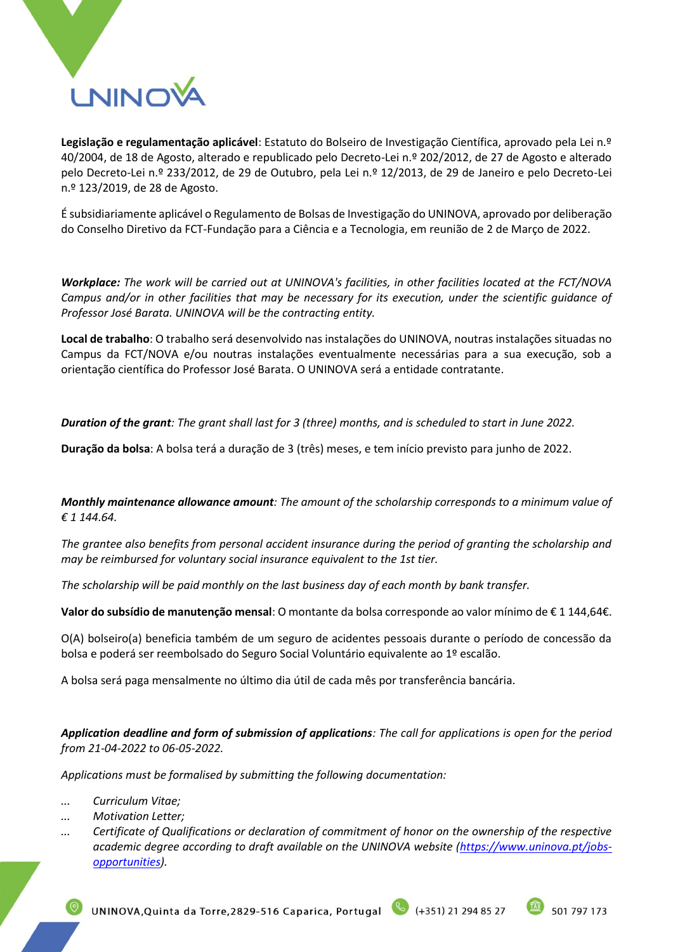

**Legislação e regulamentação aplicável**: Estatuto do Bolseiro de Investigação Científica, aprovado pela Lei n.º 40/2004, de 18 de Agosto, alterado e republicado pelo Decreto-Lei n.º 202/2012, de 27 de Agosto e alterado pelo Decreto-Lei n.º 233/2012, de 29 de Outubro, pela Lei n.º 12/2013, de 29 de Janeiro e pelo Decreto-Lei n.º 123/2019, de 28 de Agosto.

É subsidiariamente aplicável o Regulamento de Bolsas de Investigação do UNINOVA, aprovado por deliberação do Conselho Diretivo da FCT-Fundação para a Ciência e a Tecnologia, em reunião de 2 de Março de 2022.

*Workplace: The work will be carried out at UNINOVA's facilities, in other facilities located at the FCT/NOVA Campus and/or in other facilities that may be necessary for its execution, under the scientific guidance of Professor José Barata. UNINOVA will be the contracting entity.*

**Local de trabalho**: O trabalho será desenvolvido nas instalações do UNINOVA, noutras instalações situadas no Campus da FCT/NOVA e/ou noutras instalações eventualmente necessárias para a sua execução, sob a orientação científica do Professor José Barata. O UNINOVA será a entidade contratante.

*Duration of the grant: The grant shall last for 3 (three) months, and is scheduled to start in June 2022.*

**Duração da bolsa**: A bolsa terá a duração de 3 (três) meses, e tem início previsto para junho de 2022.

*Monthly maintenance allowance amount: The amount of the scholarship corresponds to a minimum value of € 1 144.64.*

*The grantee also benefits from personal accident insurance during the period of granting the scholarship and may be reimbursed for voluntary social insurance equivalent to the 1st tier.*

*The scholarship will be paid monthly on the last business day of each month by bank transfer.*

**Valor do subsídio de manutenção mensal**: O montante da bolsa corresponde ao valor mínimo de € 1 144,64€.

O(A) bolseiro(a) beneficia também de um seguro de acidentes pessoais durante o período de concessão da bolsa e poderá ser reembolsado do Seguro Social Voluntário equivalente ao 1º escalão.

A bolsa será paga mensalmente no último dia útil de cada mês por transferência bancária.

*Application deadline and form of submission of applications: The call for applications is open for the period from 21-04-2022 to 06-05-2022.*

*Applications must be formalised by submitting the following documentation:*

- *... Curriculum Vitae;*
- *... Motivation Letter;*
- *... Certificate of Qualifications or declaration of commitment of honor on the ownership of the respective*  academic degree according to draft available on the UNINOVA website [\(https://www.uninova.pt/jobs](https://www.uninova.pt/jobs-opportunities)*[opportunities\)](https://www.uninova.pt/jobs-opportunities).*

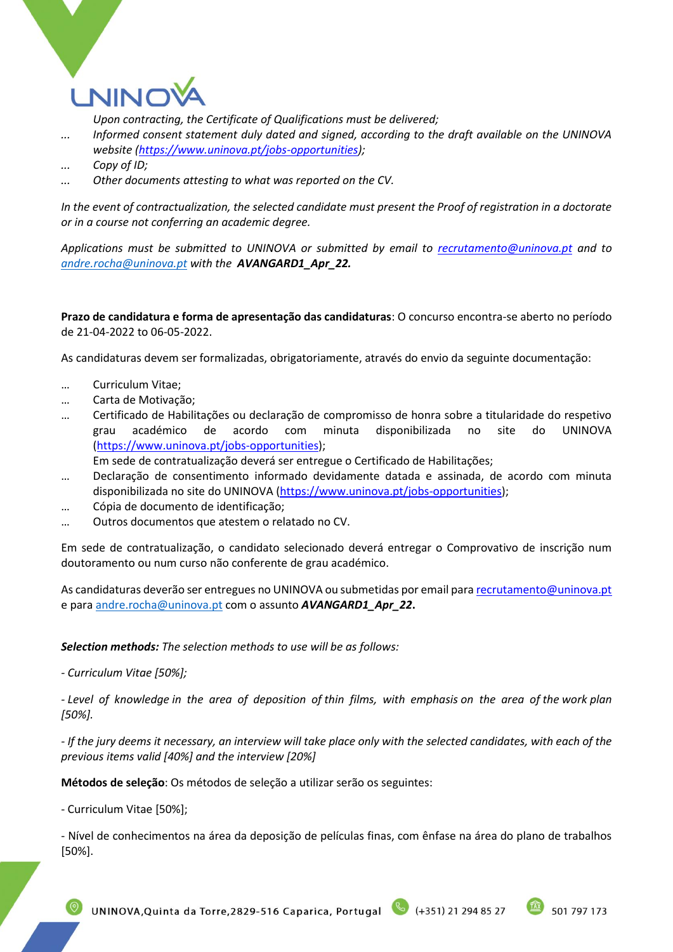

*Upon contracting, the Certificate of Qualifications must be delivered;*

*... Informed consent statement duly dated and signed, according to the draft available on the UNINOVA website [\(https://www.uninova.pt/jobs-opportunities\)](https://www.uninova.pt/jobs-opportunities);*

*... Other documents attesting to what was reported on the CV.*

*In the event of contractualization, the selected candidate must present the Proof of registration in a doctorate or in a course not conferring an academic degree.*

*Applications must be submitted to UNINOVA or submitted by email to [recrutamento@uninova.pt](mailto:recrutamento@uninova.pt) and to [andre.rocha@uninova.pt](mailto:andre.rocha@uninova.pt) with the AVANGARD1\_Apr\_22.*

**Prazo de candidatura e forma de apresentação das candidaturas**: O concurso encontra-se aberto no período de 21-04-2022 to 06-05-2022.

As candidaturas devem ser formalizadas, obrigatoriamente, através do envio da seguinte documentação:

- … Curriculum Vitae;
- … Carta de Motivação;
- … Certificado de Habilitações ou declaração de compromisso de honra sobre a titularidade do respetivo grau académico de acordo com minuta disponibilizada no site do UNINOVA [\(https://www.uninova.pt/jobs-opportunities\)](https://www.uninova.pt/jobs-opportunities);

Em sede de contratualização deverá ser entregue o Certificado de Habilitações;

- … Declaração de consentimento informado devidamente datada e assinada, de acordo com minuta disponibilizada no site do UNINOVA [\(https://www.uninova.pt/jobs-opportunities\)](https://www.uninova.pt/jobs-opportunities);
- … Cópia de documento de identificação;
- … Outros documentos que atestem o relatado no CV.

Em sede de contratualização, o candidato selecionado deverá entregar o Comprovativo de inscrição num doutoramento ou num curso não conferente de grau académico.

As candidaturas deverão ser entregues no UNINOVA ou submetidas por email par[a recrutamento@uninova.pt](mailto:recrutamento@uninova.pt) e par[a andre.rocha@uninova.pt](mailto:andre.rocha@uninova.pt) com o assunto *AVANGARD1\_Apr\_22***.**

*Selection methods: The selection methods to use will be as follows:*

*- Curriculum Vitae [50%];*

*- Level of knowledge in the area of deposition of thin films, with emphasis on the area of the work plan [50%].*

*- If the jury deems it necessary, an interview will take place only with the selected candidates, with each of the previous items valid [40%] and the interview [20%]*

**Métodos de seleção**: Os métodos de seleção a utilizar serão os seguintes:

- Curriculum Vitae [50%];

- Nível de conhecimentos na área da deposição de películas finas, com ênfase na área do plano de trabalhos [50%].



*<sup>...</sup> Copy of ID;*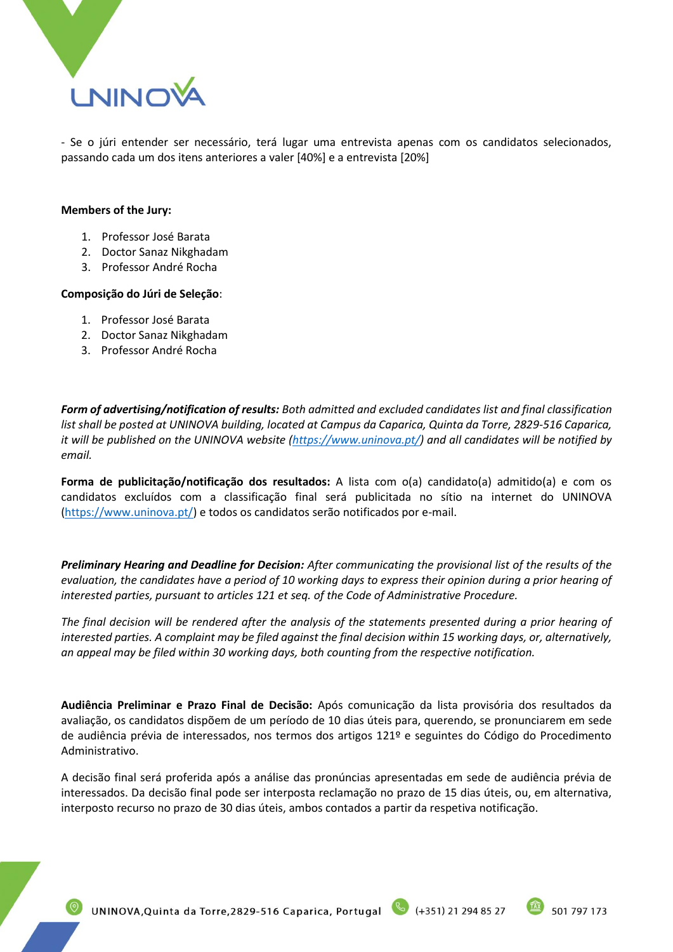

- Se o júri entender ser necessário, terá lugar uma entrevista apenas com os candidatos selecionados, passando cada um dos itens anteriores a valer [40%] e a entrevista [20%]

#### **Members of the Jury:**

- 1. Professor José Barata
- 2. Doctor Sanaz Nikghadam
- 3. Professor André Rocha

### **Composição do Júri de Seleção**:

- 1. Professor José Barata
- 2. Doctor Sanaz Nikghadam
- 3. Professor André Rocha

*Form of advertising/notification of results: Both admitted and excluded candidates list and final classification list shall be posted at UNINOVA building, located at Campus da Caparica, Quinta da Torre, 2829-516 Caparica, it will be published on the UNINOVA website [\(https://www.uninova.pt/\)](https://www.uninova.pt/) and all candidates will be notified by email.* 

**Forma de publicitação/notificação dos resultados:** A lista com o(a) candidato(a) admitido(a) e com os candidatos excluídos com a classificação final será publicitada no sítio na internet do UNINOVA [\(https://www.uninova.pt/\)](https://www.uninova.pt/) e todos os candidatos serão notificados por e-mail.

*Preliminary Hearing and Deadline for Decision: After communicating the provisional list of the results of the evaluation, the candidates have a period of 10 working days to express their opinion during a prior hearing of interested parties, pursuant to articles 121 et seq. of the Code of Administrative Procedure.*

*The final decision will be rendered after the analysis of the statements presented during a prior hearing of interested parties. A complaint may be filed against the final decision within 15 working days, or, alternatively, an appeal may be filed within 30 working days, both counting from the respective notification.*

**Audiência Preliminar e Prazo Final de Decisão:** Após comunicação da lista provisória dos resultados da avaliação, os candidatos dispõem de um período de 10 dias úteis para, querendo, se pronunciarem em sede de audiência prévia de interessados, nos termos dos artigos 121º e seguintes do Código do Procedimento Administrativo.

A decisão final será proferida após a análise das pronúncias apresentadas em sede de audiência prévia de interessados. Da decisão final pode ser interposta reclamação no prazo de 15 dias úteis, ou, em alternativa, interposto recurso no prazo de 30 dias úteis, ambos contados a partir da respetiva notificação.